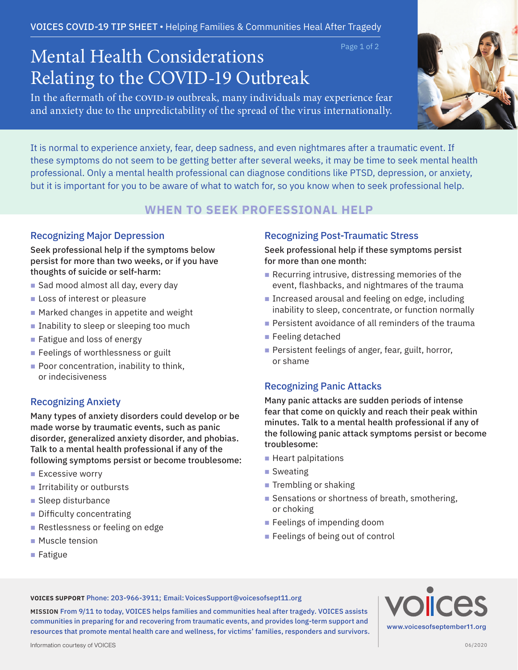# Page 1 of 2 Mental Health Considerations Relating to the COVID-19 Outbreak

In the aftermath of the **COVID-19** outbreak, many individuals may experience fear and anxiety due to the unpredictability of the spread of the virus internationally.



It is normal to experience anxiety, fear, deep sadness, and even nightmares after a traumatic event. If these symptoms do not seem to be getting better after several weeks, it may be time to seek mental health professional. Only a mental health professional can diagnose conditions like PTSD, depression, or anxiety, but it is important for you to be aware of what to watch for, so you know when to seek professional help.

## **WHEN TO SEEK PROFESSIONAL HELP**

### Recognizing Major Depression

Seek professional help if the symptoms below persist for more than two weeks, or if you have thoughts of suicide or self-harm:

- $\blacksquare$  Sad mood almost all day, every day
- **Loss of interest or pleasure**
- $\blacksquare$  Marked changes in appetite and weight
- $\blacksquare$  Inability to sleep or sleeping too much
- $\blacksquare$  Fatigue and loss of energy
- **Feelings of worthlessness or guilt**
- $\blacksquare$  Poor concentration, inability to think, or indecisiveness

## Recognizing Anxiety

Many types of anxiety disorders could develop or be made worse by traumatic events, such as panic disorder, generalized anxiety disorder, and phobias. Talk to a mental health professional if any of the following symptoms persist or become troublesome:

- $\blacksquare$  Excessive worry
- $\blacksquare$  Irritability or outbursts
- $\blacksquare$  Sleep disturbance
- $\blacksquare$  Difficulty concentrating
- Restlessness or feeling on edge
- Muscle tension
- Fatigue

## Recognizing Post-Traumatic Stress

### Seek professional help if these symptoms persist for more than one month:

- $\blacksquare$  Recurring intrusive, distressing memories of the event, flashbacks, and nightmares of the trauma
- **n** Increased arousal and feeling on edge, including inability to sleep, concentrate, or function normally
- **Persistent avoidance of all reminders of the trauma**
- $\blacksquare$  Feeling detached
- $\blacksquare$  Persistent feelings of anger, fear, guilt, horror, or shame

## Recognizing Panic Attacks

Many panic attacks are sudden periods of intense fear that come on quickly and reach their peak within minutes. Talk to a mental health professional if any of the following panic attack symptoms persist or become troublesome:

- $\blacksquare$  Heart palpitations
- $\blacksquare$  Sweating
- $\blacksquare$  Trembling or shaking
- Sensations or shortness of breath, smothering, or choking
- $\blacksquare$  Feelings of impending doom
- $\blacksquare$  Feelings of being out of control

**VOICES SUPPORT** Phone: 203-966-3911; Email: VoicesSupport**@**voicesofsept11.org

**MISSION** From 9/11 to today, VOICES helps families and communities heal after tragedy. VOICES assists communities in preparing for and recovering from traumatic events, and provides long-term support and resources that promote mental health care and wellness, for victims' families, responders and survivors. **VOICES**